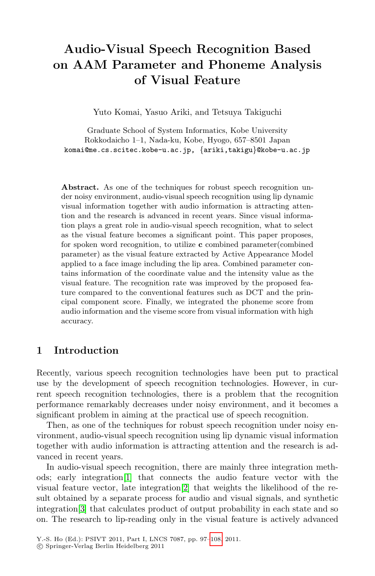# **Audio-Visual Speech Recognition Based on AAM Parameter and Phoneme Analysis of Visual Feature**

Yuto Komai, Yasuo Ariki, and Tetsuya Takiguchi

Graduate School of System Informatics, Kobe University Rokkodaicho 1–1, Nada-ku, Kobe, Hyogo, 657–8501 Japan komai@me.cs.scitec.kobe-u.ac.jp, *{*ariki,takigu*}*@kobe-u.ac.jp

**Abstract.** As one of the techniques for robust speech recognition under noisy environment, audio-visual speech recognition using lip dynamic visual information together with audio information is attracting attention and the research is advanced in recent years. Since visual information plays a great role in audio-visual speech recognition, what to select as the visual feature becomes a significant point. This paper proposes, for spoken word recognition, to utilize **c** combined parameter(combined parameter) as the visual feature extracted by Active Appearance Model applied to a face image including the lip area. Combined parameter contains information of the coordinate value and the intensity value as the visual feature. The recognition rate was improved by the proposed feature compared to the conventional features such as DCT and the principal component score. Finally, we integrated the phoneme score from audio information and the viseme score from visual information with high accuracy.

# **1 Introduction**

Recently, various speech recognition technologies have been put to practical use by the development of speech recognition technologies. However, in current speech recognition technologies, there is a problem that the recognition performance remarkably decreases under noisy environment, and it becomes a significant problem in aiming at the practical use of speech recognition.

Then, as one of the techniques for robust speech recognition under noisy environment, audio-visual speech recognition using lip dynamic visual information together with audio information is attracting attention and the research is advanced in recent years.

In audio-visual speech recognition, there are mainly three integration methods; early integration[\[1\]](#page-10-0) that connects the audio feature vector with the visual feature vector, late integration[\[2\]](#page-11-0) that weights the likelihood of the result obtained by a separate process for audio and visual signals, and synthetic integration[\[3\]](#page-11-1) that calculates product of output probability in each state and so on. The research to lip-reading only in the visual feature is actively advanced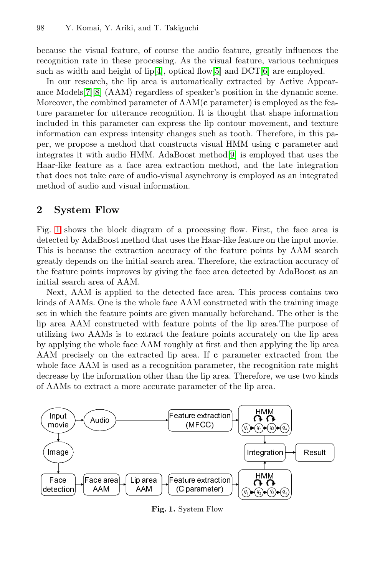because the visual feature, of course the audio feature, greatly influences the recognition rate in these processing. As the visual feature, various techniques such as width and height of lip[\[4\]](#page-11-3), optical flow[\[5\]](#page-11-4) and  $DCT[6]$  $DCT[6]$  are employed.

In our research, the lip area is automatically extracted by Active Appearance Models[\[7\]](#page-11-6)[\[8\]](#page-11-7) (AAM) regardless of speaker's position in the dynamic scene. Moreover, the combined parameter of AAM(**c** parameter) is employed as the feature parameter for utterance recognition. It is thought that shape information included in this parameter can express the lip contour movement, and texture information can express intensity changes such as tooth. Therefore, in this paper, we propose a method that constructs visual HMM using **c** parameter and integrates it with audio HMM. AdaBoost method[\[9\]](#page-11-8) is employed that uses the Haar-like feature as a face area extraction method, and the late integration that does not take care of audio-visual asynchrony is employed as an integrated method of audio and visual information.

# <span id="page-1-1"></span>**2 System Flow**

Fig. [1](#page-1-0) shows the block diagram of a processing flow. First, the face area is detected by AdaBoost method that uses the Haar-like feature on the input movie. This is because the extraction accuracy of the feature points by AAM search greatly depends on the initial search area. Therefore, the extraction accuracy of the feature points improves by giving the face area detected by AdaBoost as an initial search area of AAM.

Next, AAM is applied to the detected face area. This process contains two kinds of AAMs. One is the whole face AAM constructed with the training image set in which the feature points are given manually beforehand. The other is the lip area AAM constructed with feature points of the lip area.The purpose of utilizing two AAMs is to extract the feature points accurately on the lip area by applying the whole face AAM roughly at first and then applying the lip area AAM precisely on the extracted lip area. If **c** parameter extracted from the whole face AAM is used as a recognition parameter, the recognition rate might decrease by the information other than the lip area. Therefore, we use two kinds of AAMs to extract a more accurate parameter of the lip area.



<span id="page-1-0"></span>**Fig. 1.** System Flow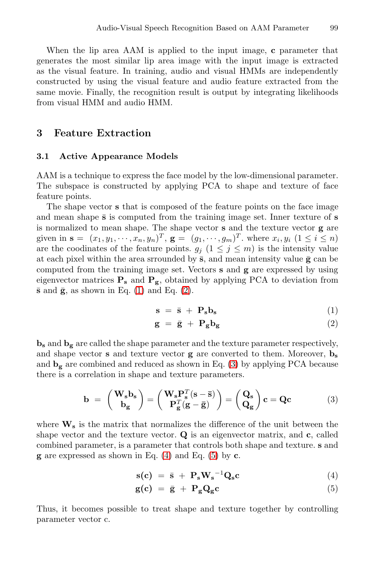When the lip area AAM is applied to the input image, **c** parameter that generates the most similar lip area image with the input image is extracted as the visual feature. In training, audio and visual HMMs are independently constructed by using the visual feature and audio feature extracted from the same movie. Finally, the recognition result is output by integrating likelihoods from visual HMM and audio HMM.

## **3 Feature Extraction**

#### **3.1 Active Appearance Models**

AAM is a technique to express the face model by the low-dimensional parameter. The subspace is constructed by applying PCA to shape and texture of face feature points.

The shape vector **s** that is composed of the feature points on the face image and mean shape  $\bar{s}$  is computed from the training image set. Inner texture of  $\bar{s}$ is normalized to mean shape. The shape vector **s** and the texture vector **g** are given in  $\mathbf{s} = (x_1, y_1, \dots, x_n, y_n)^T$ ,  $\mathbf{g} = (g_1, \dots, g_m)^T$ . where  $x_i, y_i$   $(1 \le i \le n)$ are the coodinates of the feature points.  $g_j$   $(1 \leq j \leq m)$  is the intensity value at each pixel within the area srrounded by  $\bar{s}$ , and mean intensity value  $\bar{g}$  can be computed from the training image set. Vectors **s** and **g** are expressed by using eigenvector matrices **<sup>P</sup>s** and **<sup>P</sup>g**, obtained by applying PCA to deviation from  $\bar{\mathbf{s}}$  and  $\bar{\mathbf{g}}$ , as shown in Eq. [\(1\)](#page-2-0) and Eq. [\(2\)](#page-2-0).

<span id="page-2-0"></span>
$$
\mathbf{s} = \bar{\mathbf{s}} + \mathbf{P_s} \mathbf{b_s} \tag{1}
$$

$$
\mathbf{g} = \bar{\mathbf{g}} + \mathbf{P}_{\mathbf{g}} \mathbf{b}_{\mathbf{g}} \tag{2}
$$

**<sup>b</sup>s** and **<sup>b</sup>g** are called the shape parameter and the texture parameter respectively, and shape vector **<sup>s</sup>** and texture vector **<sup>g</sup>** are converted to them. Moreover, **<sup>b</sup>s** and  $\mathbf{b}_{g}$  are combined and reduced as shown in Eq. [\(3\)](#page-2-1) by applying PCA because there is a correlation in shape and texture parameters.

<span id="page-2-1"></span>
$$
\mathbf{b} = \begin{pmatrix} \mathbf{W_s} \mathbf{b_s} \\ \mathbf{b_g} \end{pmatrix} = \begin{pmatrix} \mathbf{W_s} \mathbf{P}_s^T (\mathbf{s} - \overline{\mathbf{s}}) \\ \mathbf{P}_g^T (\mathbf{g} - \overline{\mathbf{g}}) \end{pmatrix} = \begin{pmatrix} \mathbf{Q_s} \\ \mathbf{Q_g} \end{pmatrix} \mathbf{c} = \mathbf{Qc}
$$
 (3)

where  $\mathbf{W}_s$  is the matrix that normalizes the difference of the unit between the shape vector and the texture vector. **Q** is an eigenvector matrix, and **c**, called combined parameter, is a parameter that controls both shape and texture. **s** and **g** are expressed as shown in Eq. [\(4\)](#page-2-2) and Eq. [\(5\)](#page-2-2) by **c**.

<span id="page-2-2"></span>
$$
\mathbf{s}(\mathbf{c}) = \bar{\mathbf{s}} + \mathbf{P_s} \mathbf{W_s}^{-1} \mathbf{Q_s} \mathbf{c}
$$
 (4)

$$
g(c) = \bar{g} + P_g Q_g c \tag{5}
$$

Thus, it becomes possible to treat shape and texture together by controlling parameter vector c.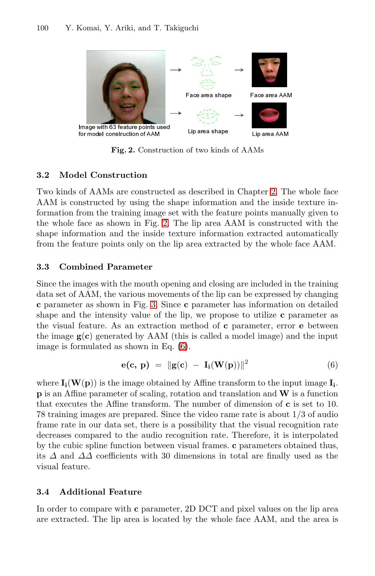

<span id="page-3-0"></span>**Fig. 2.** Construction of two kinds of AAMs

## **3.2 Model Construction**

Two kinds of AAMs are constructed as described in Chapter [2.](#page-1-1) The whole face AAM is constructed by using the shape information and the inside texture information from the training image set with the feature points manually given to the whole face as shown in Fig. [2.](#page-3-0) The lip area AAM is constructed with the shape information and the inside texture information extracted automatically from the feature points only on the lip area extracted by the whole face AAM.

## **3.3 Combined Parameter**

Since the images with the mouth opening and closing are included in the training data set of AAM, the various movements of the lip can be expressed by changing **c** parameter as shown in Fig. [3.](#page-4-0) Since **c** parameter has information on detailed shape and the intensity value of the lip, we propose to utilize **c** parameter as the visual feature. As an extraction method of **c** parameter, error **e** between the image **g**(**c**) generated by AAM (this is called a model image) and the input image is formulated as shown in Eq. [\(6\)](#page-3-1).

<span id="page-3-1"></span>
$$
e(c, p) = ||g(c) - I_i(W(p))||^2
$$
 (6)

where  $\mathbf{I}_i(\mathbf{W}(\mathbf{p}))$  is the image obtained by Affine transform to the input image  $\mathbf{I}_i$ . **p** is an Affine parameter of scaling, rotation and translation and **W** is a function that executes the Affine transform. The number of dimension of **c** is set to 10. 78 training images are prepared. Since the video rame rate is about 1/3 of audio frame rate in our data set, there is a possibility that the visual recognition rate decreases compared to the audio recognition rate. Therefore, it is interpolated by the cubic spline function between visual frames. **c** parameters obtained thus, its  $\Delta$  and  $\Delta\Delta$  coefficients with 30 dimensions in total are finally used as the visual feature.

## **3.4 Additional Feature**

In order to compare with **c** parameter, 2D DCT and pixel values on the lip area are extracted. The lip area is located by the whole face AAM, and the area is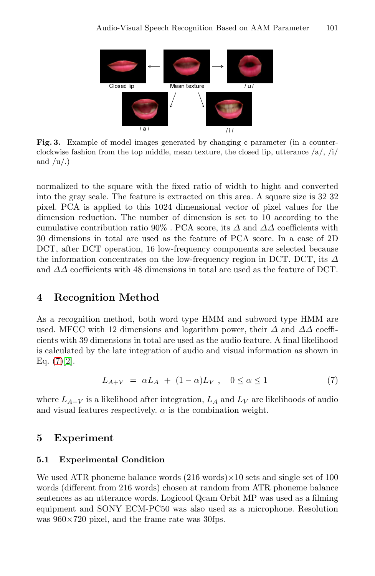

<span id="page-4-0"></span>**Fig. 3.** Example of model images generated by changing c parameter (in a counterclockwise fashion from the top middle, mean texture, the closed lip, utterance  $\langle a \rangle$ ,  $\langle i \rangle$ and  $/u/.)$ 

normalized to the square with the fixed ratio of width to hight and converted into the gray scale. The feature is extracted on this area. A square size is 32 32 pixel. PCA is applied to this 1024 dimensional vector of pixel values for the dimension reduction. The number of dimension is set to 10 according to the cumulative contribution ratio  $90\%$ . PCA score, its  $\Delta$  and  $\Delta\Delta$  coefficients with 30 dimensions in total are used as the feature of PCA score. In a case of 2D DCT, after DCT operation, 16 low-frequency components are selected because the information concentrates on the low-frequency region in DCT. DCT, its  $\Delta$ and  $\Delta\Delta$  coefficients with 48 dimensions in total are used as the feature of DCT.

# **4 Recognition Method**

As a recognition method, both word type HMM and subword type HMM are used. MFCC with 12 dimensions and logarithm power, their  $\Delta$  and  $\Delta\Delta$  coefficients with 39 dimensions in total are used as the audio feature. A final likelihood is calculated by the late integration of audio and visual information as shown in Eq.  $(7)[2]$  $(7)[2]$ .

<span id="page-4-1"></span>
$$
L_{A+V} = \alpha L_A + (1 - \alpha)L_V, \quad 0 \le \alpha \le 1 \tag{7}
$$

where  $L_{A+V}$  is a likelihood after integration,  $L_A$  and  $L_V$  are likelihoods of audio and visual features respectively.  $\alpha$  is the combination weight.

# <span id="page-4-2"></span>**5 Experiment**

## **5.1 Experimental Condition**

We used ATR phoneme balance words  $(216 \text{ words}) \times 10$  sets and single set of 100 words (different from 216 words) chosen at random from ATR phoneme balance sentences as an utterance words. Logicool Qcam Orbit MP was used as a filming equipment and SONY ECM-PC50 was also used as a microphone. Resolution was  $960\times720$  pixel, and the frame rate was 30fps.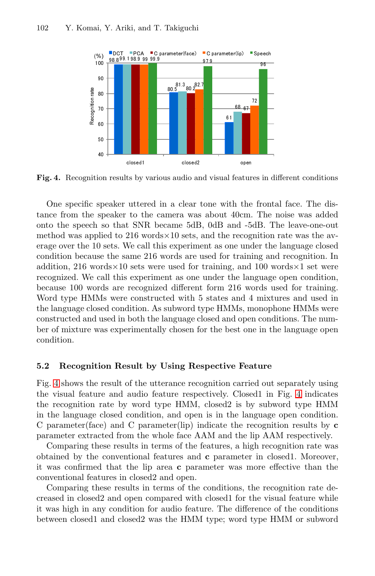

<span id="page-5-0"></span>**Fig. 4.** Recognition results by various audio and visual features in different conditions

One specific speaker uttered in a clear tone with the frontal face. The distance from the speaker to the camera was about 40cm. The noise was added onto the speech so that SNR became 5dB, 0dB and -5dB. The leave-one-out method was applied to  $216$  words $\times 10$  sets, and the recognition rate was the average over the 10 sets. We call this experiment as one under the language closed condition because the same 216 words are used for training and recognition. In addition, 216 words $\times$ 10 sets were used for training, and 100 words $\times$ 1 set were recognized. We call this experiment as one under the language open condition, because 100 words are recognized different form 216 words used for training. Word type HMMs were constructed with 5 states and 4 mixtures and used in the language closed condition. As subword type HMMs, monophone HMMs were constructed and used in both the language closed and open conditions. The number of mixture was experimentally chosen for the best one in the language open condition.

#### **5.2 Recognition Result by Using Respective Feature**

Fig. [4](#page-5-0) shows the result of the utterance recognition carried out separately using the visual feature and audio feature respectively. Closed1 in Fig. [4](#page-5-0) indicates the recognition rate by word type HMM, closed2 is by subword type HMM in the language closed condition, and open is in the language open condition. C parameter(face) and C parameter(lip) indicate the recognition results by **c** parameter extracted from the whole face AAM and the lip AAM respectively.

Comparing these results in terms of the features, a high recognition rate was obtained by the conventional features and **c** parameter in closed1. Moreover, it was confirmed that the lip area **c** parameter was more effective than the conventional features in closed2 and open.

Comparing these results in terms of the conditions, the recognition rate decreased in closed2 and open compared with closed1 for the visual feature while it was high in any condition for audio feature. The difference of the conditions between closed1 and closed2 was the HMM type; word type HMM or subword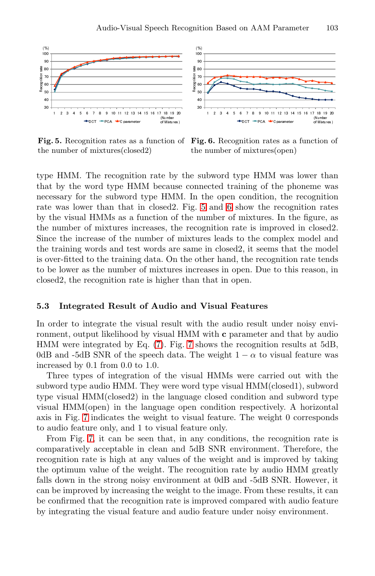

the number of mixtures(closed2)

<span id="page-6-1"></span><span id="page-6-0"></span>**Fig. 5.** Recognition rates as a function of **Fig. 6.** Recognition rates as a function of the number of mixtures(coon) the number of mixtures(open)

type HMM. The recognition rate by the subword type HMM was lower than that by the word type HMM because connected training of the phoneme was necessary for the subword type HMM. In the open condition, the recognition rate was lower than that in closed2. Fig. [5](#page-6-0) and [6](#page-6-1) show the recognition rates by the visual HMMs as a function of the number of mixtures. In the figure, as the number of mixtures increases, the recognition rate is improved in closed2. Since the increase of the number of mixtures leads to the complex model and the training words and test words are same in closed2, it seems that the model is over-fitted to the training data. On the other hand, the recognition rate tends to be lower as the number of mixtures increases in open. Due to this reason, in closed2, the recognition rate is higher than that in open.

#### **5.3 Integrated Result of Audio and Visual Features**

In order to integrate the visual result with the audio result under noisy environment, output likelihood by visual HMM with **c** parameter and that by audio HMM were integrated by Eq. [\(7\)](#page-4-1). Fig. [7](#page-7-0) shows the recognition results at 5dB, 0dB and -5dB SNR of the speech data. The weight  $1 - \alpha$  to visual feature was increased by 0.1 from 0.0 to 1.0.

Three types of integration of the visual HMMs were carried out with the subword type audio HMM. They were word type visual HMM(closed1), subword type visual HMM(closed2) in the language closed condition and subword type visual HMM(open) in the language open condition respectively. A horizontal axis in Fig. [7](#page-7-0) indicates the weight to visual feature. The weight 0 corresponds to audio feature only, and 1 to visual feature only.

From Fig. [7,](#page-7-0) it can be seen that, in any conditions, the recognition rate is comparatively acceptable in clean and 5dB SNR environment. Therefore, the recognition rate is high at any values of the weight and is improved by taking the optimum value of the weight. The recognition rate by audio HMM greatly falls down in the strong noisy environment at 0dB and -5dB SNR. However, it can be improved by increasing the weight to the image. From these results, it can be confirmed that the recognition rate is improved compared with audio feature by integrating the visual feature and audio feature under noisy environment.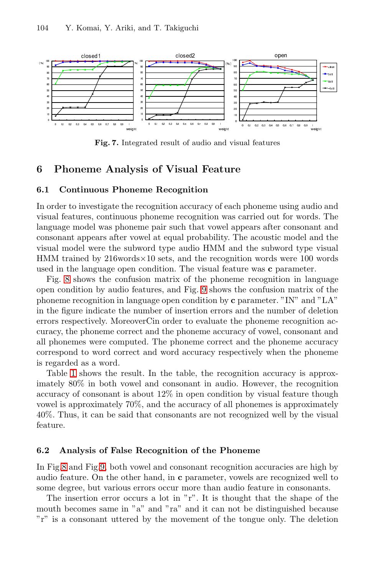

<span id="page-7-0"></span>**Fig. 7.** Integrated result of audio and visual features

# **6 Phoneme Analysis of Visual Feature**

#### **6.1 Continuous Phoneme Recognition**

In order to investigate the recognition accuracy of each phoneme using audio and visual features, continuous phoneme recognition was carried out for words. The language model was phoneme pair such that vowel appears after consonant and consonant appears after vowel at equal probability. The acoustic model and the visual model were the subword type audio HMM and the subword type visual HMM trained by 216words×10 sets, and the recognition words were 100 words used in the language open condition. The visual feature was **c** parameter.

Fig. [8](#page-8-0) shows the confusion matrix of the phoneme recognition in language open condition by audio features, and Fig. [9](#page-8-1) shows the confusion matrix of the phoneme recognition in language open condition by **c** parameter. "IN" and "LA" in the figure indicate the number of insertion errors and the number of deletion errors respectively. MoreoverCin order to evaluate the phoneme recognition accuracy, the phoneme correct and the phoneme accuracy of vowel, consonant and all phonemes were computed. The phoneme correct and the phoneme accuracy correspond to word correct and word accuracy respectively when the phoneme is regarded as a word.

Table [1](#page-8-2) shows the result. In the table, the recognition accuracy is approximately 80% in both vowel and consonant in audio. However, the recognition accuracy of consonant is about 12% in open condition by visual feature though vowel is approximately 70%, and the accuracy of all phonemes is approximately 40%. Thus, it can be said that consonants are not recognized well by the visual feature.

#### <span id="page-7-1"></span>**6.2 Analysis of False Recognition of the Phoneme**

In Fig[.8](#page-8-0) and Fig[.9,](#page-8-1) both vowel and consonant recognition accuracies are high by audio feature. On the other hand, in **c** parameter, vowels are recognized well to some degree, but various errors occur more than audio feature in consonants.

The insertion error occurs a lot in "r". It is thought that the shape of the mouth becomes same in "a" and "ra" and it can not be distinguished because "r" is a consonant uttered by the movement of the tongue only. The deletion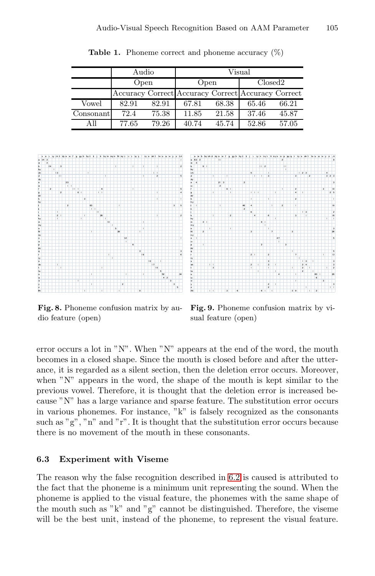|           | Audio |       | Visual                                             |       |         |       |
|-----------|-------|-------|----------------------------------------------------|-------|---------|-------|
|           | Open  |       | Open                                               |       | Closed2 |       |
|           |       |       | Accuracy Correct Accuracy Correct Accuracy Correct |       |         |       |
| Vowel     | 82.91 | 82.91 | 67.81                                              | 68.38 | 65.46   | 66.21 |
| Consonant | 72.4  | 75.38 | 11.85                                              | 21.58 | 37.46   | 45.87 |
| All       | 77.65 | 79.26 | 40.74                                              | 45.74 | 52.86   | 57.05 |

<span id="page-8-2"></span>**Table 1.** Phoneme correct and phoneme accuracy  $(\%)$ 



<span id="page-8-0"></span>**Fig. 8.** Phoneme confusion matrix by audio feature (open)

<span id="page-8-1"></span>**Fig. 9.** Phoneme confusion matrix by visual feature (open)

error occurs a lot in " $N$ ". When " $N$ " appears at the end of the word, the mouth becomes in a closed shape. Since the mouth is closed before and after the utterance, it is regarded as a silent section, then the deletion error occurs. Moreover, when "N" appears in the word, the shape of the mouth is kept similar to the previous vowel. Therefore, it is thought that the deletion error is increased because "N" has a large variance and sparse feature. The substitution error occurs in various phonemes. For instance, "k" is falsely recognized as the consonants such as "g", "n" and "r". It is thought that the substitution error occurs because there is no movement of the mouth in these consonants.

#### **6.3 Experiment with Viseme**

The reason why the false recognition described in [6.2](#page-7-1) is caused is attributed to the fact that the phoneme is a minimum unit representing the sound. When the phoneme is applied to the visual feature, the phonemes with the same shape of the mouth such as "k" and "g" cannot be distinguished. Therefore, the viseme will be the best unit, instead of the phoneme, to represent the visual feature.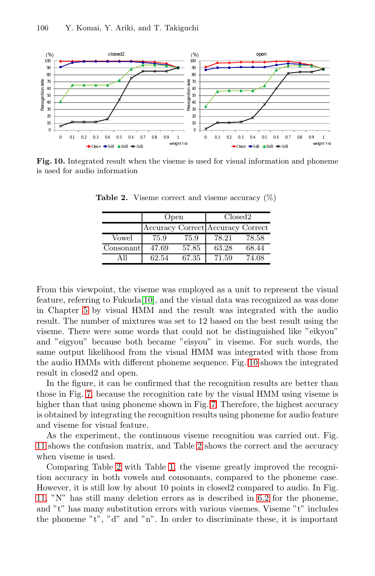

<span id="page-9-0"></span>**Fig. 10.** Integrated result when the viseme is used for visual information and phoneme is used for audio information

<span id="page-9-1"></span>

|           | Open  |       | Closed <sub>2</sub>               |       |  |
|-----------|-------|-------|-----------------------------------|-------|--|
|           |       |       | Accuracy Correct Accuracy Correct |       |  |
| Vowel     | 75.9  | 75.9  | 78.21                             | 78.58 |  |
| Consonant | 47.69 | 57.85 | 63.28                             | 68.44 |  |
|           | 62.54 | 67.35 | 71.59                             | 74.08 |  |

**Table 2.** Viseme correct and viseme accuracy  $(\%)$ 

From this viewpoint, the viseme was employed as a unit to represent the visual feature, referring to Fukuda[\[10\]](#page-11-9), and the visual data was recognized as was done in Chapter [5](#page-4-2) by visual HMM and the result was integrated with the audio result. The number of mixtures was set to 12 based on the best result using the viseme. There were some words that could not be distinguished like "eikyou" and "eigyou" because both became "eisyou" in viseme. For such words, the same output likelihood from the visual HMM was integrated with those from the audio HMMs with different phoneme sequence. Fig. [10](#page-9-0) shows the integrated result in closed2 and open.

In the figure, it can be confirmed that the recognition results are better than those in Fig. [7,](#page-7-0) because the recognition rate by the visual HMM using viseme is higher than that using phoneme shown in Fig. [7.](#page-7-0) Therefore, the highest accuracy is obtained by integrating the recognition results using phoneme for audio feature and viseme for visual feature.

As the experiment, the continuous viseme recognition was carried out. Fig. [11](#page-10-1) shows the confusion matrix, and Table [2](#page-9-1) shows the correct and the accuracy when viseme is used.

Comparing Table [2](#page-9-1) with Table [1,](#page-8-2) the viseme greatly improved the recognition accuracy in both vowels and consonants, compared to the phoneme case. However, it is still low by about 10 points in closed2 compared to audio. In Fig. [11,](#page-10-1) "N" has still many deletion errors as is described in [6.2](#page-7-1) for the phoneme, and "t" has many substitution errors with various visemes. Viseme "t" includes the phoneme " $t$ ", "d" and "n". In order to discriminate these, it is important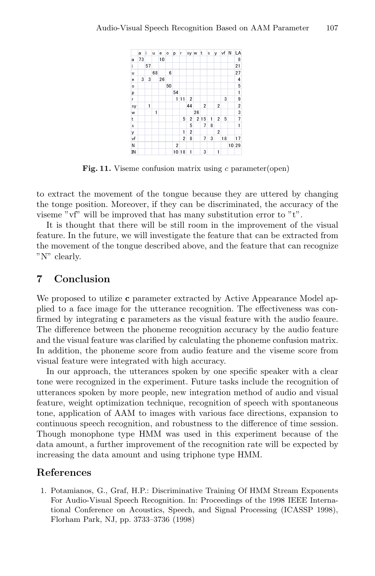

<span id="page-10-1"></span>**Fig. 11.** Viseme confusion matrix using *<sup>c</sup>* parameter(open)

to extract the movement of the tongue because they are uttered by changing the tonge position. Moreover, if they can be discriminated, the accuracy of the viseme "vf" will be improved that has many substitution error to "t".

It is thought that there will be still room in the improvement of the visual feature. In the future, we will investigate the feature that can be extracted from the movement of the tongue described above, and the feature that can recognize "N" clearly.

# **7 Conclusion**

We proposed to utilize **c** parameter extracted by Active Appearance Model applied to a face image for the utterance recognition. The effectiveness was confirmed by integrating **c** parameters as the visual feature with the audio feaure. The difference between the phoneme recognition accuracy by the audio feature and the visual feature was clarified by calculating the phoneme confusion matrix. In addition, the phoneme score from audio feature and the viseme score from visual feature were integrated with high accuracy.

In our approach, the utterances spoken by one specific speaker with a clear tone were recognized in the experiment. Future tasks include the recognition of utterances spoken by more people, new integration method of audio and visual feature, weight optimization technique, recognition of speech with spontaneous tone, application of AAM to images with various face directions, expansion to continuous speech recognition, and robustness to the difference of time session. Though monophone type HMM was used in this experiment because of the data amount, a further improvement of the recognition rate will be expected by increasing the data amount and using triphone type HMM.

# <span id="page-10-0"></span>**References**

1. Potamianos, G., Graf, H.P.: Discriminative Training Of HMM Stream Exponents For Audio-Visual Speech Recognition. In: Proceedings of the 1998 IEEE International Conference on Acoustics, Speech, and Signal Processing (ICASSP 1998), Florham Park, NJ, pp. 3733–3736 (1998)